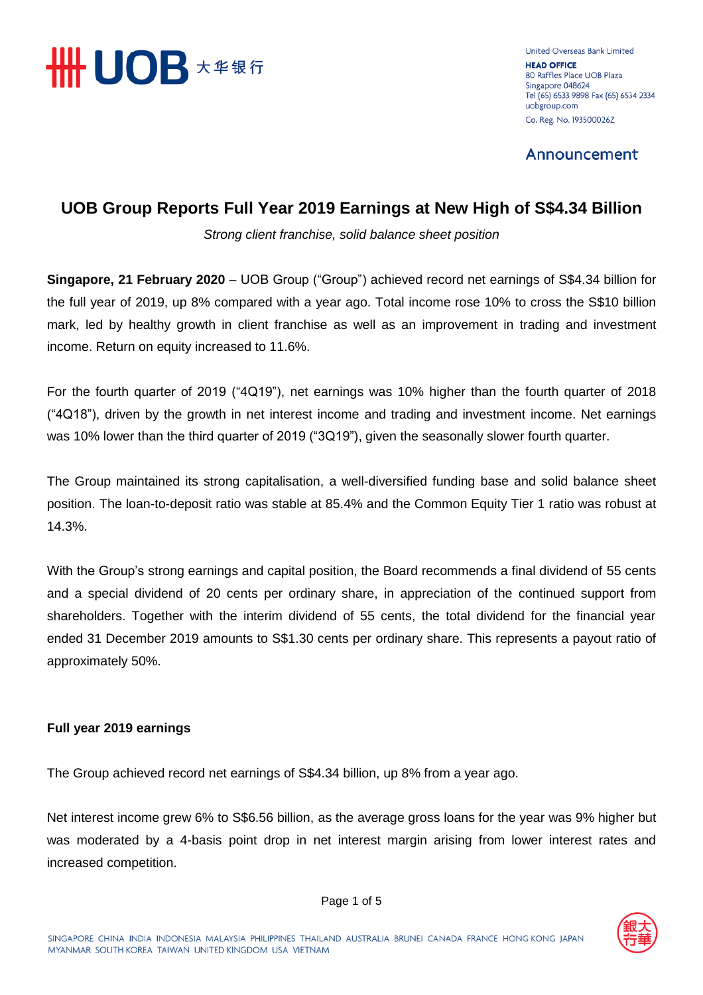

United Overseas Bank Limited **HEAD OFFICE** 80 Raffles Place UOB Plaza Singapore 048624 Tel (65) 6533 9898 Fax (65) 6534 2334 uobgroup.com Co. Reg. No. 193500026Z

Announcement

## **UOB Group Reports Full Year 2019 Earnings at New High of S\$4.34 Billion**

*Strong client franchise, solid balance sheet position* 

**Singapore, 21 February 2020** – UOB Group ("Group") achieved record net earnings of S\$4.34 billion for the full year of 2019, up 8% compared with a year ago. Total income rose 10% to cross the S\$10 billion mark, led by healthy growth in client franchise as well as an improvement in trading and investment income. Return on equity increased to 11.6%.

For the fourth quarter of 2019 ("4Q19"), net earnings was 10% higher than the fourth quarter of 2018 ("4Q18"), driven by the growth in net interest income and trading and investment income. Net earnings was 10% lower than the third quarter of 2019 ("3Q19"), given the seasonally slower fourth quarter.

The Group maintained its strong capitalisation, a well-diversified funding base and solid balance sheet position. The loan-to-deposit ratio was stable at 85.4% and the Common Equity Tier 1 ratio was robust at 14.3%.

With the Group's strong earnings and capital position, the Board recommends a final dividend of 55 cents and a special dividend of 20 cents per ordinary share, in appreciation of the continued support from shareholders. Together with the interim dividend of 55 cents, the total dividend for the financial year ended 31 December 2019 amounts to S\$1.30 cents per ordinary share. This represents a payout ratio of approximately 50%.

### **Full year 2019 earnings**

The Group achieved record net earnings of S\$4.34 billion, up 8% from a year ago.

Net interest income grew 6% to S\$6.56 billion, as the average gross loans for the year was 9% higher but was moderated by a 4-basis point drop in net interest margin arising from lower interest rates and increased competition.

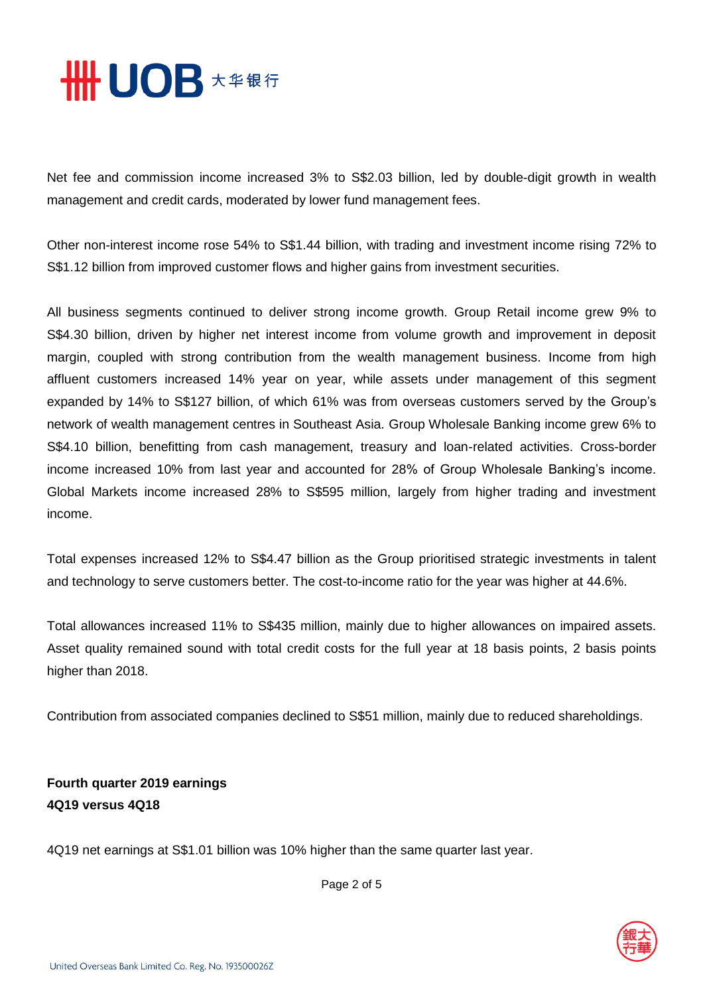

Net fee and commission income increased 3% to S\$2.03 billion, led by double-digit growth in wealth management and credit cards, moderated by lower fund management fees.

Other non-interest income rose 54% to S\$1.44 billion, with trading and investment income rising 72% to S\$1.12 billion from improved customer flows and higher gains from investment securities.

All business segments continued to deliver strong income growth. Group Retail income grew 9% to S\$4.30 billion, driven by higher net interest income from volume growth and improvement in deposit margin, coupled with strong contribution from the wealth management business. Income from high affluent customers increased 14% year on year, while assets under management of this segment expanded by 14% to S\$127 billion, of which 61% was from overseas customers served by the Group's network of wealth management centres in Southeast Asia. Group Wholesale Banking income grew 6% to S\$4.10 billion, benefitting from cash management, treasury and loan-related activities. Cross-border income increased 10% from last year and accounted for 28% of Group Wholesale Banking's income. Global Markets income increased 28% to S\$595 million, largely from higher trading and investment income.

Total expenses increased 12% to S\$4.47 billion as the Group prioritised strategic investments in talent and technology to serve customers better. The cost-to-income ratio for the year was higher at 44.6%.

Total allowances increased 11% to S\$435 million, mainly due to higher allowances on impaired assets. Asset quality remained sound with total credit costs for the full year at 18 basis points, 2 basis points higher than 2018.

Contribution from associated companies declined to S\$51 million, mainly due to reduced shareholdings.

**Fourth quarter 2019 earnings 4Q19 versus 4Q18**

4Q19 net earnings at S\$1.01 billion was 10% higher than the same quarter last year.



Page 2 of 5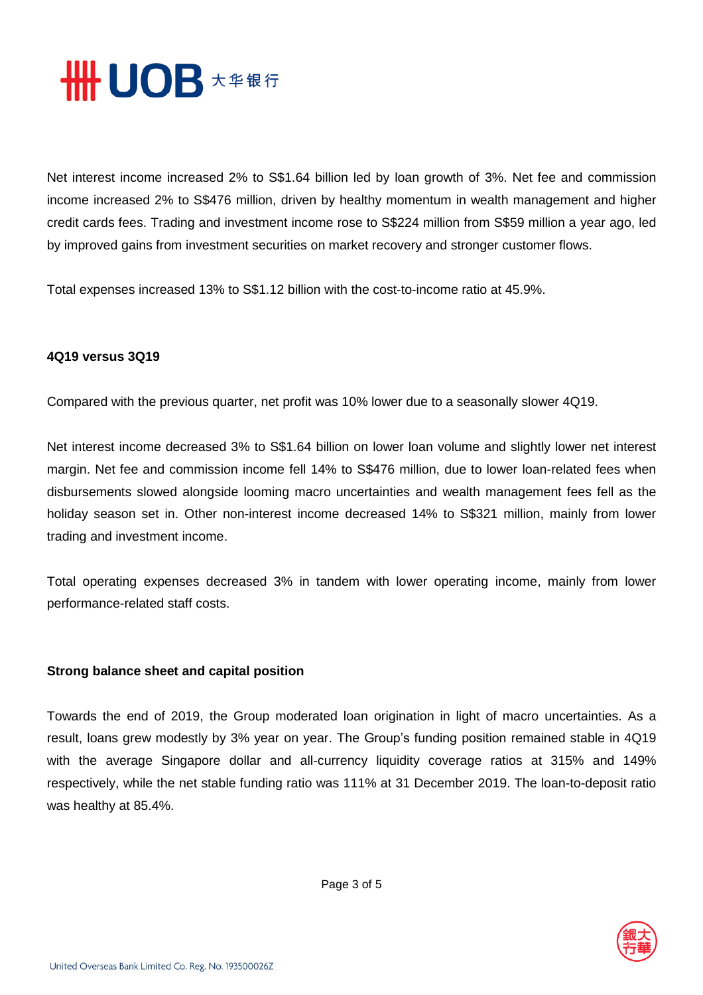

Net interest income increased 2% to S\$1.64 billion led by loan growth of 3%. Net fee and commission income increased 2% to S\$476 million, driven by healthy momentum in wealth management and higher credit cards fees. Trading and investment income rose to S\$224 million from S\$59 million a year ago, led by improved gains from investment securities on market recovery and stronger customer flows.

Total expenses increased 13% to S\$1.12 billion with the cost-to-income ratio at 45.9%.

#### **4Q19 versus 3Q19**

Compared with the previous quarter, net profit was 10% lower due to a seasonally slower 4Q19.

Net interest income decreased 3% to S\$1.64 billion on lower loan volume and slightly lower net interest margin. Net fee and commission income fell 14% to S\$476 million, due to lower loan-related fees when disbursements slowed alongside looming macro uncertainties and wealth management fees fell as the holiday season set in. Other non-interest income decreased 14% to S\$321 million, mainly from lower trading and investment income.

Total operating expenses decreased 3% in tandem with lower operating income, mainly from lower performance-related staff costs.

#### **Strong balance sheet and capital position**

Towards the end of 2019, the Group moderated loan origination in light of macro uncertainties. As a result, loans grew modestly by 3% year on year. The Group's funding position remained stable in 4Q19 with the average Singapore dollar and all-currency liquidity coverage ratios at 315% and 149% respectively, while the net stable funding ratio was 111% at 31 December 2019. The loan-to-deposit ratio was healthy at 85.4%.

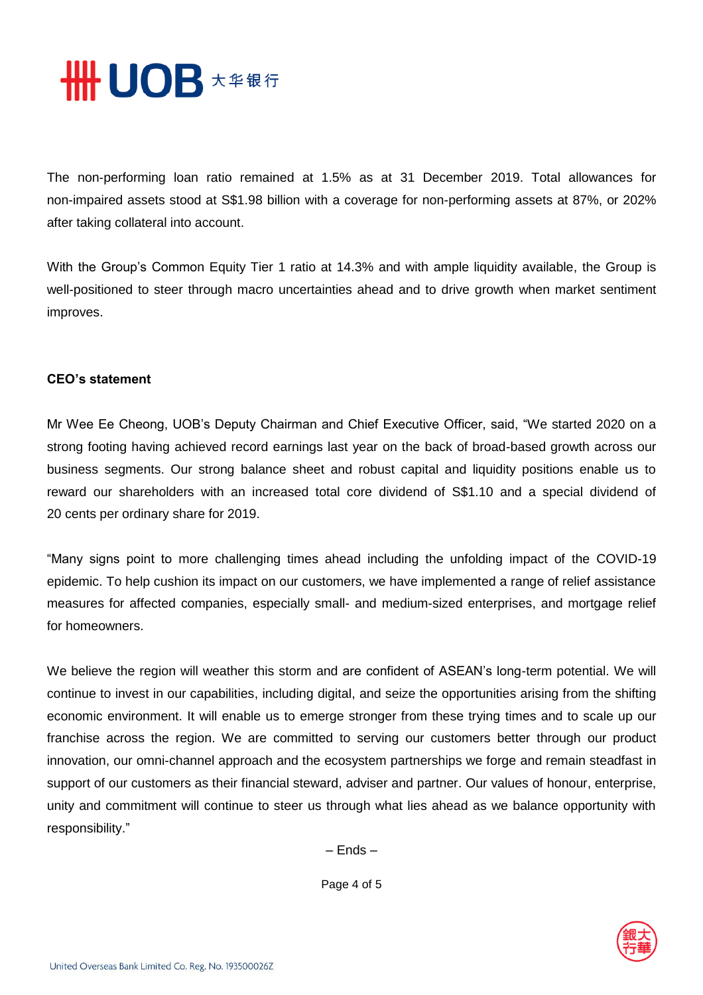

The non-performing loan ratio remained at 1.5% as at 31 December 2019. Total allowances for non-impaired assets stood at S\$1.98 billion with a coverage for non-performing assets at 87%, or 202% after taking collateral into account.

With the Group's Common Equity Tier 1 ratio at 14.3% and with ample liquidity available, the Group is well-positioned to steer through macro uncertainties ahead and to drive growth when market sentiment improves.

#### **CEO's statement**

Mr Wee Ee Cheong, UOB's Deputy Chairman and Chief Executive Officer, said, "We started 2020 on a strong footing having achieved record earnings last year on the back of broad-based growth across our business segments. Our strong balance sheet and robust capital and liquidity positions enable us to reward our shareholders with an increased total core dividend of S\$1.10 and a special dividend of 20 cents per ordinary share for 2019.

"Many signs point to more challenging times ahead including the unfolding impact of the COVID-19 epidemic. To help cushion its impact on our customers, we have implemented a range of relief assistance measures for affected companies, especially small- and medium-sized enterprises, and mortgage relief for homeowners.

We believe the region will weather this storm and are confident of ASEAN's long-term potential. We will continue to invest in our capabilities, including digital, and seize the opportunities arising from the shifting economic environment. It will enable us to emerge stronger from these trying times and to scale up our franchise across the region. We are committed to serving our customers better through our product innovation, our omni-channel approach and the ecosystem partnerships we forge and remain steadfast in support of our customers as their financial steward, adviser and partner. Our values of honour, enterprise, unity and commitment will continue to steer us through what lies ahead as we balance opportunity with responsibility."

– Ends –

Page 4 of 5